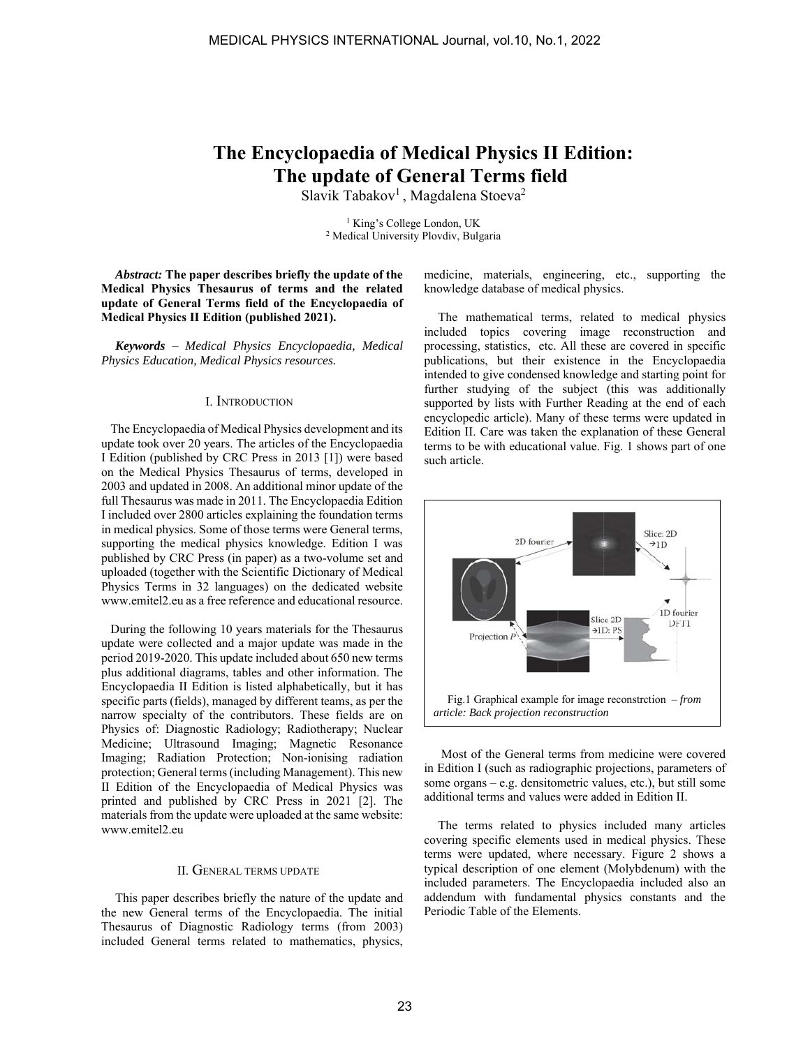# **The Encyclopaedia of Medical Physics II Edition: The update of General Terms field**

Slavik Tabakov<sup>1</sup>, Magdalena Stoeva<sup>2</sup>

<sup>1</sup> King's College London, UK<br><sup>2</sup> Medical University Ploydiy, Bulg <sup>2</sup> Medical University Plovdiv, Bulgaria

*Abstract:* **The paper describes briefly the update of the Medical Physics Thesaurus of terms and the related update of General Terms field of the Encyclopaedia of Medical Physics II Edition (published 2021).**

*Keywords* – *Medical Physics Encyclopaedia, Medical Physics Education, Medical Physics resources.*

### I. INTRODUCTION

 The Encyclopaedia of Medical Physics development and its update took over 20 years. The articles of the Encyclopaedia I Edition (published by CRC Press in 2013 [1]) were based on the Medical Physics Thesaurus of terms, developed in 2003 and updated in 2008. An additional minor update of the full Thesaurus was made in 2011. The Encyclopaedia Edition I included over 2800 articles explaining the foundation terms in medical physics. Some of those terms were General terms, supporting the medical physics knowledge. Edition I was published by CRC Press (in paper) as a two-volume set and uploaded (together with the Scientific Dictionary of Medical Physics Terms in 32 languages) on the dedicated website www.emitel2.eu as a free reference and educational resource.

 During the following 10 years materials for the Thesaurus update were collected and a major update was made in the period 2019-2020. This update included about 650 new terms plus additional diagrams, tables and other information. The Encyclopaedia II Edition is listed alphabetically, but it has specific parts (fields), managed by different teams, as per the narrow specialty of the contributors. These fields are on Physics of: Diagnostic Radiology; Radiotherapy; Nuclear Medicine; Ultrasound Imaging; Magnetic Resonance Imaging; Radiation Protection; Non-ionising radiation protection; General terms (including Management). This new II Edition of the Encyclopaedia of Medical Physics was printed and published by CRC Press in 2021 [2]. The materials from the update were uploaded at the same website: www.emitel2.eu

## II. GENERAL TERMS UPDATE

This paper describes briefly the nature of the update and the new General terms of the Encyclopaedia. The initial Thesaurus of Diagnostic Radiology terms (from 2003) included General terms related to mathematics, physics, medicine, materials, engineering, etc., supporting the knowledge database of medical physics.

The mathematical terms, related to medical physics included topics covering image reconstruction and processing, statistics, etc. All these are covered in specific publications, but their existence in the Encyclopaedia intended to give condensed knowledge and starting point for further studying of the subject (this was additionally supported by lists with Further Reading at the end of each encyclopedic article). Many of these terms were updated in Edition II. Care was taken the explanation of these General terms to be with educational value. Fig. 1 shows part of one such article.



 Most of the General terms from medicine were covered in Edition I (such as radiographic projections, parameters of some organs – e.g. densitometric values, etc.), but still some additional terms and values were added in Edition II.

The terms related to physics included many articles covering specific elements used in medical physics. These terms were updated, where necessary. Figure 2 shows a typical description of one element (Molybdenum) with the included parameters. The Encyclopaedia included also an addendum with fundamental physics constants and the Periodic Table of the Elements.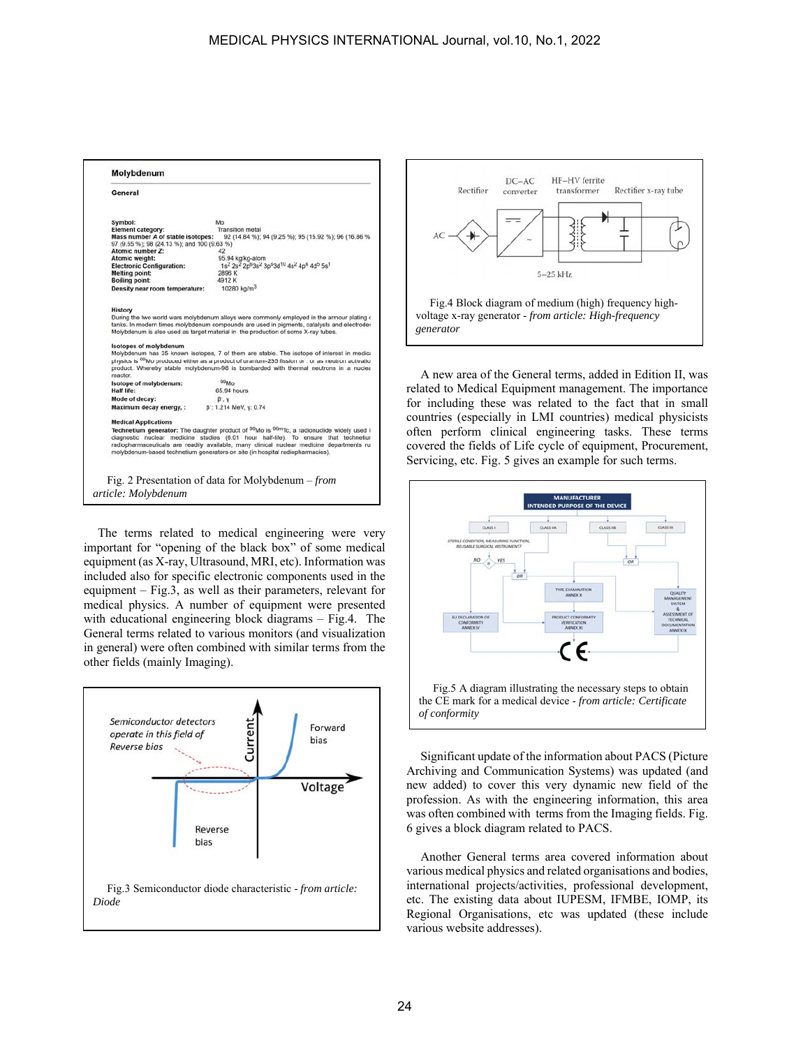| Symbol:                                                                                                                      | Mo                                                                                                                                                                                                                                                                                                                                                                                                                                                                                                                                |
|------------------------------------------------------------------------------------------------------------------------------|-----------------------------------------------------------------------------------------------------------------------------------------------------------------------------------------------------------------------------------------------------------------------------------------------------------------------------------------------------------------------------------------------------------------------------------------------------------------------------------------------------------------------------------|
| <b>Element category:</b><br>Mass number A of stable isotopes:<br>97 (9.55 %); 98 (24.13 %); and 100 (9.63 %)                 | <b>Transition metal</b><br>92 (14.84 %); 94 (9.25 %); 95 (15.92 %); 96 (16.86 %)                                                                                                                                                                                                                                                                                                                                                                                                                                                  |
| Atomic number Z:                                                                                                             | 42                                                                                                                                                                                                                                                                                                                                                                                                                                                                                                                                |
| Atomic weight:                                                                                                               | 95.94 kg/kg-atom                                                                                                                                                                                                                                                                                                                                                                                                                                                                                                                  |
| <b>Electronic Configuration:</b>                                                                                             | 1s <sup>2</sup> 2s <sup>2</sup> 2p <sup>6</sup> 3s <sup>2</sup> 3p <sup>6</sup> 3d <sup>10</sup> 4s <sup>2</sup> 4p <sup>6</sup> 4d <sup>5</sup> 5s <sup>1</sup>                                                                                                                                                                                                                                                                                                                                                                  |
| <b>Melting point:</b>                                                                                                        | 2896 K                                                                                                                                                                                                                                                                                                                                                                                                                                                                                                                            |
| <b>Boiling point:</b>                                                                                                        | 4912K                                                                                                                                                                                                                                                                                                                                                                                                                                                                                                                             |
| Density near room temperature:                                                                                               | 10280 $\text{kg/m}^3$                                                                                                                                                                                                                                                                                                                                                                                                                                                                                                             |
|                                                                                                                              |                                                                                                                                                                                                                                                                                                                                                                                                                                                                                                                                   |
| History                                                                                                                      | Molybdenum is also used as target material in the production of some X-ray tubes.                                                                                                                                                                                                                                                                                                                                                                                                                                                 |
| <b>Isotopes of molybdenum</b>                                                                                                |                                                                                                                                                                                                                                                                                                                                                                                                                                                                                                                                   |
|                                                                                                                              |                                                                                                                                                                                                                                                                                                                                                                                                                                                                                                                                   |
|                                                                                                                              |                                                                                                                                                                                                                                                                                                                                                                                                                                                                                                                                   |
|                                                                                                                              | During the two world wars molybdenum alloys were commonly employed in the armour plating o<br>tanks. In modern times molybdenum compounds are used in pigments, catalysts and electrodes<br>Molybdenum has 35 known isotopes, 7 of them are stable. The isotope of interest in medica<br>physics is <sup>99</sup> Mo produced either as a product of uranium-235 fission or . or as neutron activation<br>product. Whereby stable molybdenum-98 is bombarded with thermal neutrons in a nuclea<br>99 <sub>Mo</sub><br>65.94 hours |
|                                                                                                                              |                                                                                                                                                                                                                                                                                                                                                                                                                                                                                                                                   |
|                                                                                                                              | $\beta$ . y<br>B: 1.214 MeV, y: 0.74                                                                                                                                                                                                                                                                                                                                                                                                                                                                                              |
| reactor.<br>Isotope of molybdenum:<br>Half life:<br>Mode of decay:<br>Maximum decay energy, :<br><b>Medical Applications</b> | Technetium generator: The daughter product of 99Mo is <sup>99m</sup> Tc, a radionuclide widely used it                                                                                                                                                                                                                                                                                                                                                                                                                            |

The terms related to medical engineering were very important for "opening of the black box" of some medical equipment (as X-ray, Ultrasound, MRI, etc). Information was included also for specific electronic components used in the equipment – Fig.3, as well as their parameters, relevant for medical physics. A number of equipment were presented with educational engineering block diagrams – Fig.4. The General terms related to various monitors (and visualization in general) were often combined with similar terms from the other fields (mainly Imaging).





A new area of the General terms, added in Edition II, was related to Medical Equipment management. The importance for including these was related to the fact that in small countries (especially in LMI countries) medical physicists often perform clinical engineering tasks. These terms covered the fields of Life cycle of equipment, Procurement, Servicing, etc. Fig. 5 gives an example for such terms.



Significant update of the information about PACS (Picture Archiving and Communication Systems) was updated (and new added) to cover this very dynamic new field of the profession. As with the engineering information, this area was often combined with terms from the Imaging fields. Fig. 6 gives a block diagram related to PACS.

Another General terms area covered information about various medical physics and related organisations and bodies, international projects/activities, professional development, etc. The existing data about IUPESM, IFMBE, IOMP, its Regional Organisations, etc was updated (these include various website addresses).